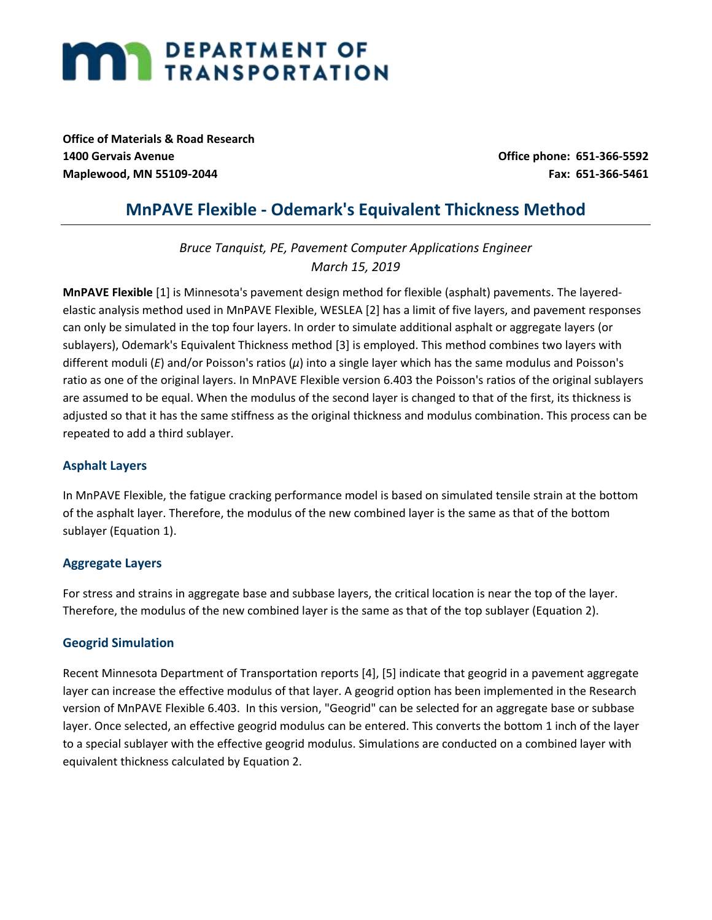# **MARI DEPARTMENT OF TRANSPORTATION**

**Office of Materials & Road Research 1400 Gervais Avenue Office phone: 651-366-5592 Maplewood, MN 55109-2044 Fax: 651-366-5461**

# **MnPAVE Flexible - Odemark's Equivalent Thickness Method**

*Bruce Tanquist, PE, Pavement Computer Applications Engineer March 15, 2019*

**MnPAVE Flexible** [1] is Minnesota's pavement design method for flexible (asphalt) pavements. The layeredelastic analysis method used in MnPAVE Flexible, WESLEA [2] has a limit of five layers, and pavement responses can only be simulated in the top four layers. In order to simulate additional asphalt or aggregate layers (or sublayers), Odemark's Equivalent Thickness method [3] is employed. This method combines two layers with different moduli (*E*) and/or Poisson's ratios (*μ*) into a single layer which has the same modulus and Poisson's ratio as one of the original layers. In MnPAVE Flexible version 6.403 the Poisson's ratios of the original sublayers are assumed to be equal. When the modulus of the second layer is changed to that of the first, its thickness is adjusted so that it has the same stiffness as the original thickness and modulus combination. This process can be repeated to add a third sublayer.

## **Asphalt Layers**

In MnPAVE Flexible, the fatigue cracking performance model is based on simulated tensile strain at the bottom of the asphalt layer. Therefore, the modulus of the new combined layer is the same as that of the bottom sublayer (Equation 1).

### **Aggregate Layers**

For stress and strains in aggregate base and subbase layers, the critical location is near the top of the layer. Therefore, the modulus of the new combined layer is the same as that of the top sublayer (Equation 2).

### **Geogrid Simulation**

Recent Minnesota Department of Transportation reports [4], [5] indicate that geogrid in a pavement aggregate layer can increase the effective modulus of that layer. A geogrid option has been implemented in the Research version of MnPAVE Flexible 6.403. In this version, "Geogrid" can be selected for an aggregate base or subbase layer. Once selected, an effective geogrid modulus can be entered. This converts the bottom 1 inch of the layer to a special sublayer with the effective geogrid modulus. Simulations are conducted on a combined layer with equivalent thickness calculated by Equation 2.